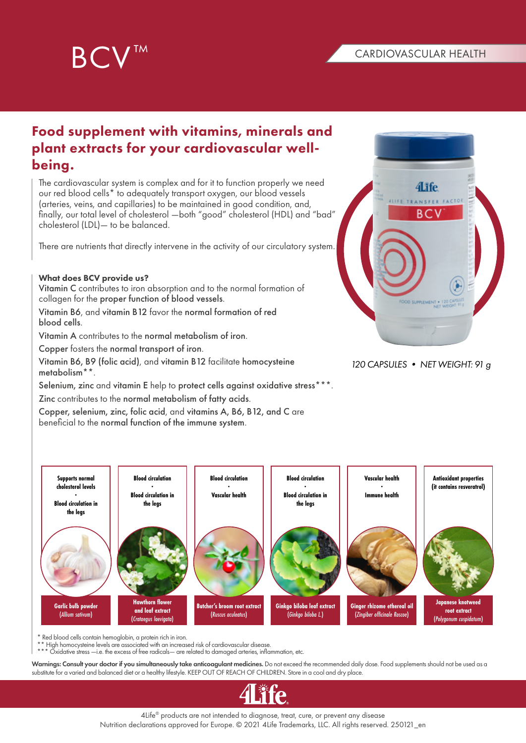



# Food supplement with vitamins, minerals and plant extracts for your cardiovascular wellbeing.

The cardiovascular system is complex and for it to function properly we need our red blood cells\* to adequately transport oxygen, our blood vessels (arteries, veins, and capillaries) to be maintained in good condition, and, finally, our total level of cholesterol —both "good" cholesterol (HDL) and "bad" cholesterol (LDL)— to be balanced.

There are nutrients that directly intervene in the activity of our circulatory system.

### What does BCV provide us?

Vitamin C contributes to iron absorption and to the normal formation of collagen for the proper function of blood vessels.

Vitamin B6, and vitamin B12 favor the normal formation of red blood cells.

Vitamin A contributes to the normal metabolism of iron.

Copper fosters the normal transport of iron.

Vitamin B6, B9 (folic acid), and vitamin B12 facilitate homocysteine metabolism\*\*.

Selenium, zinc and vitamin E help to protect cells against oxidative stress\*\*\*. Zinc contributes to the normal metabolism of fatty acids.

Copper, selenium, zinc, folic acid, and vitamins A, B6, B12, and C are beneficial to the normal function of the immune system.



## *120 CAPSULES • NET WEIGHT: 91 g*



 $\epsilon$  Red blood cells contain hemoglobin, a protein rich in iron.

\*\* High homocysteine levels are associated with an increased risk of cardiovascular disease.

\*\*\* Oxidative stress —i.e. the excess of free radicals— are related to damaged arteries, inflammation, etc.

Warnings: Consult your doctor if you simultaneously take anticoagulant medicines. Do not exceed the recommended daily dose. Food supplements should not be used as a substitute for a varied and balanced diet or a healthy lifestyle. KEEP OUT OF REACH OF CHILDREN. Store in a cool and dry place.